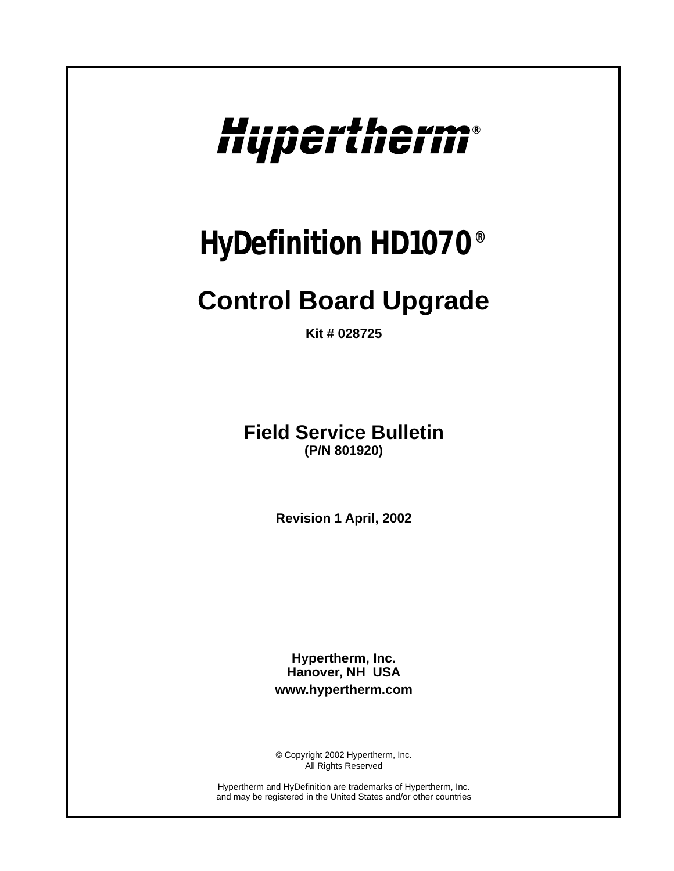# Hupertherm®

## *HyDefinition HD1070®*

### **Control Board Upgrade**

**Kit # 028725**

**Field Service Bulletin (P/N 801920)**

**Revision 1 April, 2002**

**Hypertherm, Inc. Hanover, NH USA www.hypertherm.com**

© Copyright 2002 Hypertherm, Inc. All Rights Reserved

Hypertherm and HyDefinition are trademarks of Hypertherm, Inc. and may be registered in the United States and/or other countries